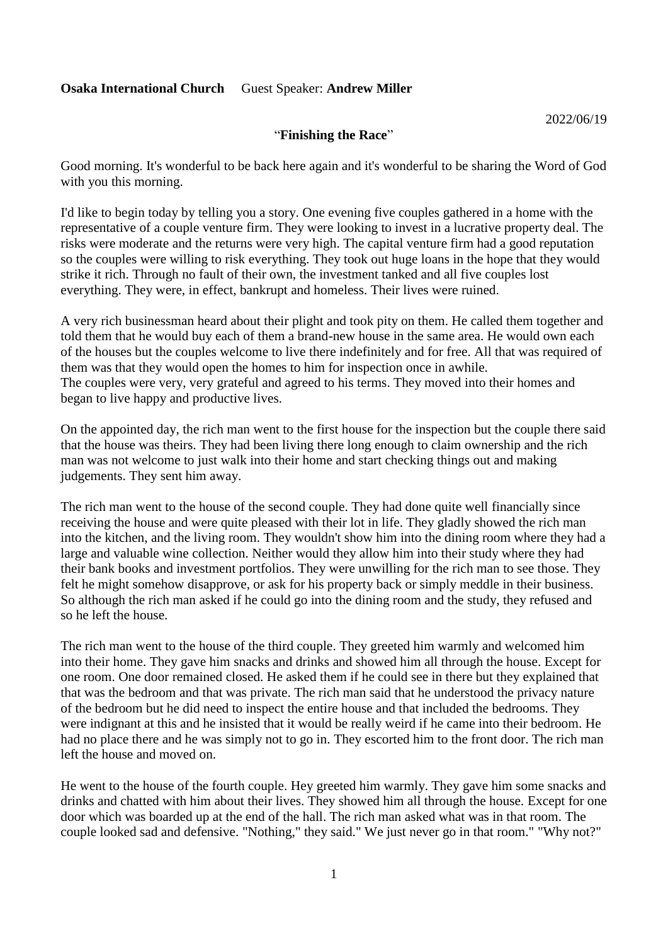#### "**Finishing the Race**"

Good morning. It's wonderful to be back here again and it's wonderful to be sharing the Word of God with you this morning.

I'd like to begin today by telling you a story. One evening five couples gathered in a home with the representative of a couple venture firm. They were looking to invest in a lucrative property deal. The risks were moderate and the returns were very high. The capital venture firm had a good reputation so the couples were willing to risk everything. They took out huge loans in the hope that they would strike it rich. Through no fault of their own, the investment tanked and all five couples lost everything. They were, in effect, bankrupt and homeless. Their lives were ruined.

A very rich businessman heard about their plight and took pity on them. He called them together and told them that he would buy each of them a brand-new house in the same area. He would own each of the houses but the couples welcome to live there indefinitely and for free. All that was required of them was that they would open the homes to him for inspection once in awhile. The couples were very, very grateful and agreed to his terms. They moved into their homes and began to live happy and productive lives.

On the appointed day, the rich man went to the first house for the inspection but the couple there said that the house was theirs. They had been living there long enough to claim ownership and the rich man was not welcome to just walk into their home and start checking things out and making judgements. They sent him away.

The rich man went to the house of the second couple. They had done quite well financially since receiving the house and were quite pleased with their lot in life. They gladly showed the rich man into the kitchen, and the living room. They wouldn't show him into the dining room where they had a large and valuable wine collection. Neither would they allow him into their study where they had their bank books and investment portfolios. They were unwilling for the rich man to see those. They felt he might somehow disapprove, or ask for his property back or simply meddle in their business. So although the rich man asked if he could go into the dining room and the study, they refused and so he left the house.

The rich man went to the house of the third couple. They greeted him warmly and welcomed him into their home. They gave him snacks and drinks and showed him all through the house. Except for one room. One door remained closed. He asked them if he could see in there but they explained that that was the bedroom and that was private. The rich man said that he understood the privacy nature of the bedroom but he did need to inspect the entire house and that included the bedrooms. They were indignant at this and he insisted that it would be really weird if he came into their bedroom. He had no place there and he was simply not to go in. They escorted him to the front door. The rich man left the house and moved on.

He went to the house of the fourth couple. Hey greeted him warmly. They gave him some snacks and drinks and chatted with him about their lives. They showed him all through the house. Except for one door which was boarded up at the end of the hall. The rich man asked what was in that room. The couple looked sad and defensive. "Nothing," they said." We just never go in that room." "Why not?"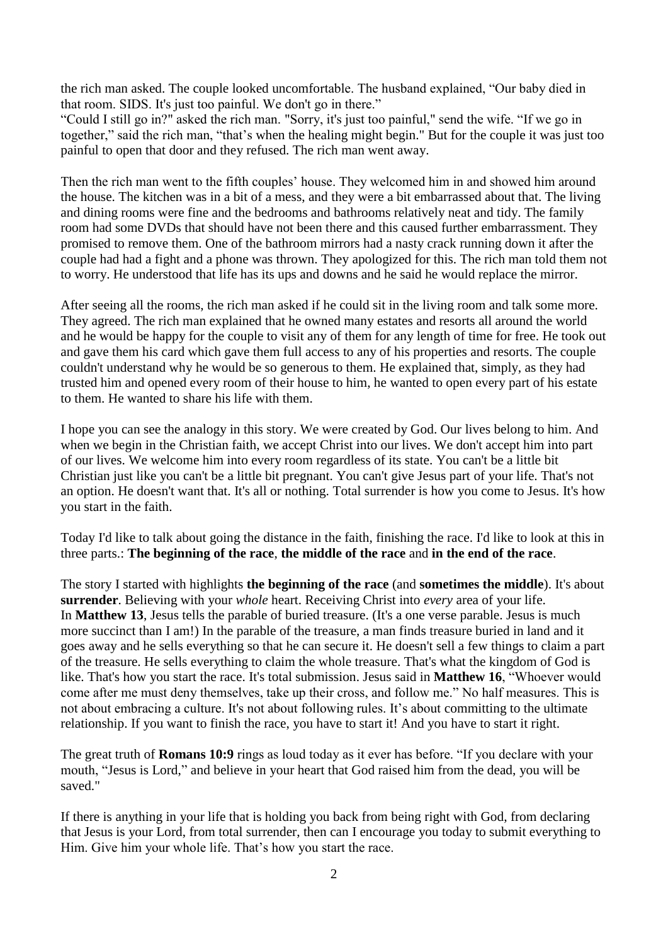the rich man asked. The couple looked uncomfortable. The husband explained, "Our baby died in that room. SIDS. It's just too painful. We don't go in there."

"Could I still go in?" asked the rich man. "Sorry, it's just too painful," send the wife. "If we go in together," said the rich man, "that's when the healing might begin." But for the couple it was just too painful to open that door and they refused. The rich man went away.

Then the rich man went to the fifth couples' house. They welcomed him in and showed him around the house. The kitchen was in a bit of a mess, and they were a bit embarrassed about that. The living and dining rooms were fine and the bedrooms and bathrooms relatively neat and tidy. The family room had some DVDs that should have not been there and this caused further embarrassment. They promised to remove them. One of the bathroom mirrors had a nasty crack running down it after the couple had had a fight and a phone was thrown. They apologized for this. The rich man told them not to worry. He understood that life has its ups and downs and he said he would replace the mirror.

After seeing all the rooms, the rich man asked if he could sit in the living room and talk some more. They agreed. The rich man explained that he owned many estates and resorts all around the world and he would be happy for the couple to visit any of them for any length of time for free. He took out and gave them his card which gave them full access to any of his properties and resorts. The couple couldn't understand why he would be so generous to them. He explained that, simply, as they had trusted him and opened every room of their house to him, he wanted to open every part of his estate to them. He wanted to share his life with them.

I hope you can see the analogy in this story. We were created by God. Our lives belong to him. And when we begin in the Christian faith, we accept Christ into our lives. We don't accept him into part of our lives. We welcome him into every room regardless of its state. You can't be a little bit Christian just like you can't be a little bit pregnant. You can't give Jesus part of your life. That's not an option. He doesn't want that. It's all or nothing. Total surrender is how you come to Jesus. It's how you start in the faith.

Today I'd like to talk about going the distance in the faith, finishing the race. I'd like to look at this in three parts.: **The beginning of the race**, **the middle of the race** and **in the end of the race**.

The story I started with highlights **the beginning of the race** (and **sometimes the middle**). It's about **surrender**. Believing with your *whole* heart. Receiving Christ into *every* area of your life. In **Matthew 13**, Jesus tells the parable of buried treasure. (It's a one verse parable. Jesus is much more succinct than I am!) In the parable of the treasure, a man finds treasure buried in land and it goes away and he sells everything so that he can secure it. He doesn't sell a few things to claim a part of the treasure. He sells everything to claim the whole treasure. That's what the kingdom of God is like. That's how you start the race. It's total submission. Jesus said in **Matthew 16**, "Whoever would come after me must deny themselves, take up their cross, and follow me." No half measures. This is not about embracing a culture. It's not about following rules. It's about committing to the ultimate relationship. If you want to finish the race, you have to start it! And you have to start it right.

The great truth of **Romans 10:9** rings as loud today as it ever has before. "If you declare with your mouth, "Jesus is Lord," and believe in your heart that God raised him from the dead, you will be saved."

If there is anything in your life that is holding you back from being right with God, from declaring that Jesus is your Lord, from total surrender, then can I encourage you today to submit everything to Him. Give him your whole life. That's how you start the race.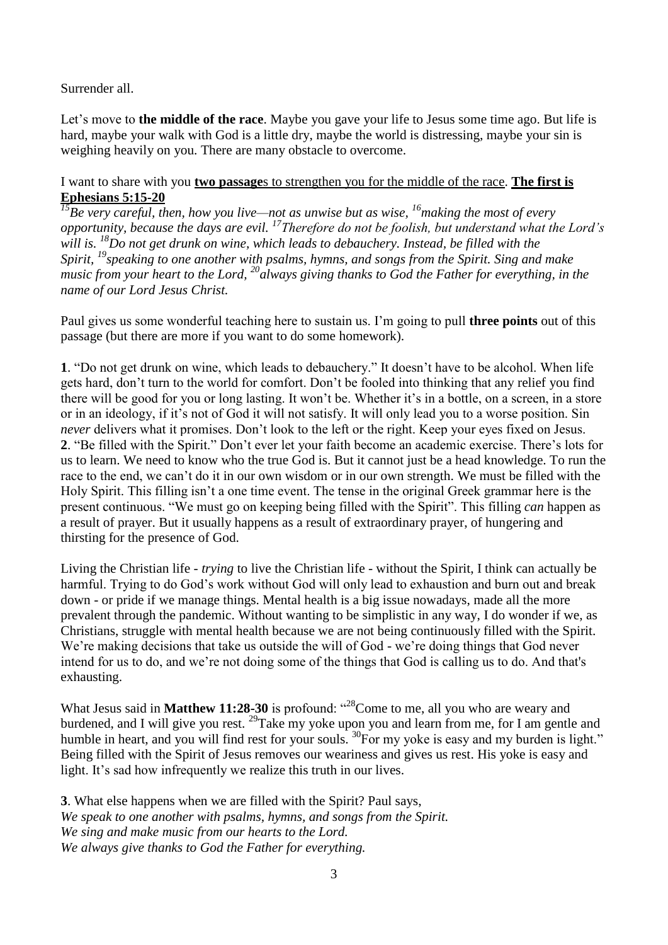#### Surrender all.

Let's move to **the middle of the race**. Maybe you gave your life to Jesus some time ago. But life is hard, maybe your walk with God is a little dry, maybe the world is distressing, maybe your sin is weighing heavily on you. There are many obstacle to overcome.

# I want to share with you **two passage**s to strengthen you for the middle of the race. **The first is Ephesians 5:15-20**

*<sup>15</sup>Be very careful, then, how you live—not as unwise but as wise, <sup>16</sup>making the most of every opportunity, because the days are evil. <sup>17</sup>Therefore do not be foolish, but understand what the Lord's will is. <sup>18</sup>Do not get drunk on wine, which leads to debauchery. Instead, be filled with the Spirit, <sup>19</sup>speaking to one another with psalms, hymns, and songs from the Spirit. Sing and make music from your heart to the Lord, <sup>20</sup>always giving thanks to God the Father for everything, in the name of our Lord Jesus Christ.*

Paul gives us some wonderful teaching here to sustain us. I'm going to pull **three points** out of this passage (but there are more if you want to do some homework).

**1**. "Do not get drunk on wine, which leads to debauchery." It doesn't have to be alcohol. When life gets hard, don't turn to the world for comfort. Don't be fooled into thinking that any relief you find there will be good for you or long lasting. It won't be. Whether it's in a bottle, on a screen, in a store or in an ideology, if it's not of God it will not satisfy. It will only lead you to a worse position. Sin *never* delivers what it promises. Don't look to the left or the right. Keep your eyes fixed on Jesus. **2**. "Be filled with the Spirit." Don't ever let your faith become an academic exercise. There's lots for us to learn. We need to know who the true God is. But it cannot just be a head knowledge. To run the race to the end, we can't do it in our own wisdom or in our own strength. We must be filled with the Holy Spirit. This filling isn't a one time event. The tense in the original Greek grammar here is the present continuous. "We must go on keeping being filled with the Spirit". This filling *can* happen as a result of prayer. But it usually happens as a result of extraordinary prayer, of hungering and thirsting for the presence of God.

Living the Christian life - *trying* to live the Christian life - without the Spirit, I think can actually be harmful. Trying to do God's work without God will only lead to exhaustion and burn out and break down - or pride if we manage things. Mental health is a big issue nowadays, made all the more prevalent through the pandemic. Without wanting to be simplistic in any way, I do wonder if we, as Christians, struggle with mental health because we are not being continuously filled with the Spirit. We're making decisions that take us outside the will of God - we're doing things that God never intend for us to do, and we're not doing some of the things that God is calling us to do. And that's exhausting.

What Jesus said in **Matthew 11:28-30** is profound: "<sup>28</sup>Come to me, all you who are weary and burdened, and I will give you rest.  $^{29}$ Take my yoke upon you and learn from me, for I am gentle and humble in heart, and you will find rest for your souls. <sup>30</sup>For my yoke is easy and my burden is light." Being filled with the Spirit of Jesus removes our weariness and gives us rest. His yoke is easy and light. It's sad how infrequently we realize this truth in our lives.

**3**. What else happens when we are filled with the Spirit? Paul says, *We speak to one another with psalms, hymns, and songs from the Spirit. We sing and make music from our hearts to the Lord. We always give thanks to God the Father for everything.*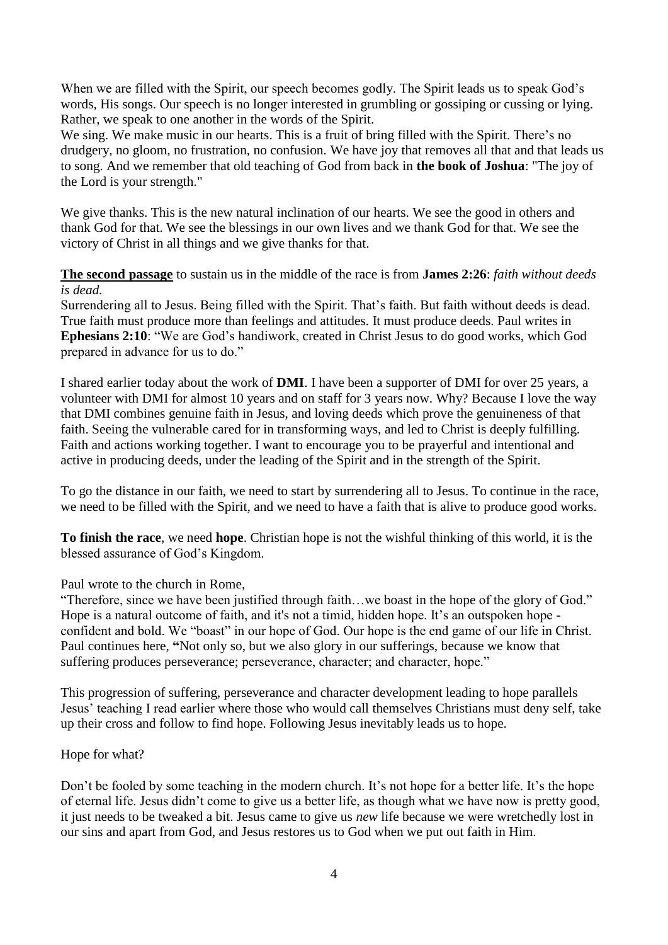When we are filled with the Spirit, our speech becomes godly. The Spirit leads us to speak God's words, His songs. Our speech is no longer interested in grumbling or gossiping or cussing or lying. Rather, we speak to one another in the words of the Spirit.

We sing. We make music in our hearts. This is a fruit of bring filled with the Spirit. There's no drudgery, no gloom, no frustration, no confusion. We have joy that removes all that and that leads us to song. And we remember that old teaching of God from back in **the book of Joshua**: "The joy of the Lord is your strength."

We give thanks. This is the new natural inclination of our hearts. We see the good in others and thank God for that. We see the blessings in our own lives and we thank God for that. We see the victory of Christ in all things and we give thanks for that.

**The second passage** to sustain us in the middle of the race is from **James 2:26**: *faith without deeds is dead.*

Surrendering all to Jesus. Being filled with the Spirit. That's faith. But faith without deeds is dead. True faith must produce more than feelings and attitudes. It must produce deeds. Paul writes in **Ephesians 2:10**: "We are God's handiwork, created in Christ Jesus to do good works, which God prepared in advance for us to do."

I shared earlier today about the work of **DMI**. I have been a supporter of DMI for over 25 years, a volunteer with DMI for almost 10 years and on staff for 3 years now. Why? Because I love the way that DMI combines genuine faith in Jesus, and loving deeds which prove the genuineness of that faith. Seeing the vulnerable cared for in transforming ways, and led to Christ is deeply fulfilling. Faith and actions working together. I want to encourage you to be prayerful and intentional and active in producing deeds, under the leading of the Spirit and in the strength of the Spirit.

To go the distance in our faith, we need to start by surrendering all to Jesus. To continue in the race, we need to be filled with the Spirit, and we need to have a faith that is alive to produce good works.

**To finish the race**, we need **hope**. Christian hope is not the wishful thinking of this world, it is the blessed assurance of God's Kingdom.

Paul wrote to the church in Rome,

"Therefore, since we have been justified through faith…we boast in the hope of the glory of God." Hope is a natural outcome of faith, and it's not a timid, hidden hope. It's an outspoken hope confident and bold. We "boast" in our hope of God. Our hope is the end game of our life in Christ. Paul continues here, **"**Not only so, but we also glory in our sufferings, because we know that suffering produces perseverance; perseverance, character; and character, hope."

This progression of suffering, perseverance and character development leading to hope parallels Jesus' teaching I read earlier where those who would call themselves Christians must deny self, take up their cross and follow to find hope. Following Jesus inevitably leads us to hope.

### Hope for what?

Don't be fooled by some teaching in the modern church. It's not hope for a better life. It's the hope of eternal life. Jesus didn't come to give us a better life, as though what we have now is pretty good, it just needs to be tweaked a bit. Jesus came to give us *new* life because we were wretchedly lost in our sins and apart from God, and Jesus restores us to God when we put out faith in Him.